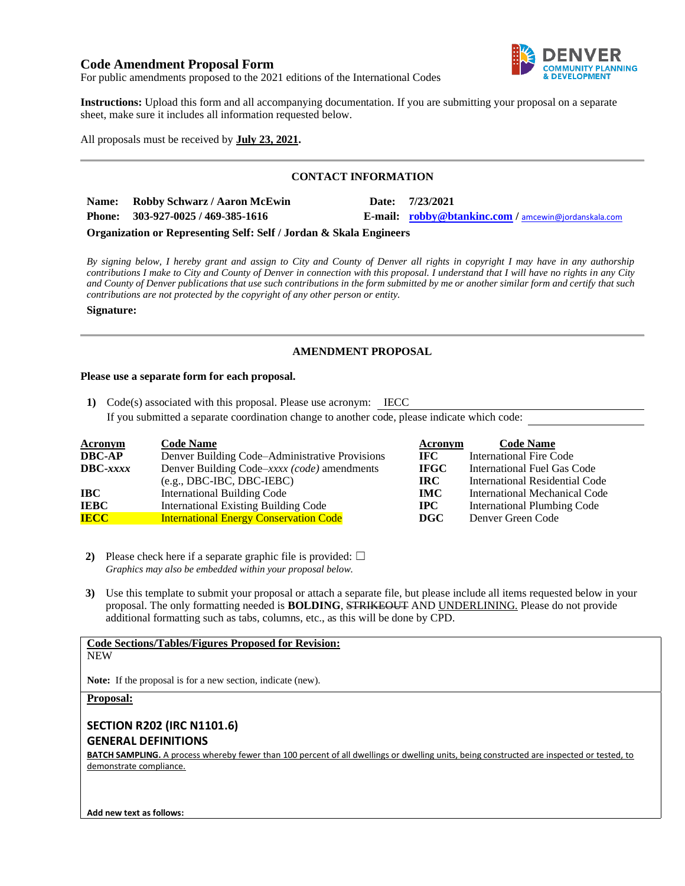# **Code Amendment Proposal Form**



For public amendments proposed to the 2021 editions of the International Codes

**Instructions:** Upload this form and all accompanying documentation. If you are submitting your proposal on a separate sheet, make sure it includes all information requested below.

All proposals must be received by **July 23, 2021.**

## **CONTACT INFORMATION**

| Name: Robby Schwarz / Aaron McEwin | Date: 7/23/2021                                      |
|------------------------------------|------------------------------------------------------|
| Phone: $303-927-0025/469-385-1616$ | E-mail: robby@btankinc.com / amcewin@jordanskala.com |

**Organization or Representing Self: Self / Jordan & Skala Engineers**

*By signing below, I hereby grant and assign to City and County of Denver all rights in copyright I may have in any authorship contributions I make to City and County of Denver in connection with this proposal. I understand that I will have no rights in any City and County of Denver publications that use such contributions in the form submitted by me or another similar form and certify that such contributions are not protected by the copyright of any other person or entity.* 

### **Signature:**

# **AMENDMENT PROPOSAL**

### **Please use a separate form for each proposal.**

**1)** Code(s) associated with this proposal. Please use acronym: IECC

If you submitted a separate coordination change to another code, please indicate which code:

| <b>Acronym</b>    | <b>Code Name</b>                               | Acronym     | <b>Code Name</b>               |
|-------------------|------------------------------------------------|-------------|--------------------------------|
| <b>DBC-AP</b>     | Denver Building Code–Administrative Provisions | IFC -       | <b>International Fire Code</b> |
| $\text{DBC}-xxxx$ | Denver Building Code–xxxx (code) amendments    | <b>IFGC</b> | International Fuel Gas Code    |
|                   | $(e.g., DBC-IBC, DBC-IEBC)$                    | IRC.        | International Residential Code |
| IBC               | <b>International Building Code</b>             | <b>IMC</b>  | International Mechanical Code  |
| <b>IEBC</b>       | <b>International Existing Building Code</b>    | $\bf IPC$   | International Plumbing Code    |
| <b>IECC</b>       | <b>International Energy Conservation Code</b>  | DGC         | Denver Green Code              |

**2)** Please check here if a separate graphic file is provided:  $\Box$ *Graphics may also be embedded within your proposal below.*

**3)** Use this template to submit your proposal or attach a separate file, but please include all items requested below in your proposal. The only formatting needed is **BOLDING**, STRIKEOUT AND UNDERLINING. Please do not provide additional formatting such as tabs, columns, etc., as this will be done by CPD.

# **Code Sections/Tables/Figures Proposed for Revision:**

**NEW** 

**Note:** If the proposal is for a new section, indicate (new).

### **Proposal:**

# **SECTION R202 (IRC N1101.6) GENERAL DEFINITIONS**

**BATCH SAMPLING.** A process whereby fewer than 100 percent of all dwellings or dwelling units, being constructed are inspected or tested, to demonstrate compliance.

**Add new text as follows:**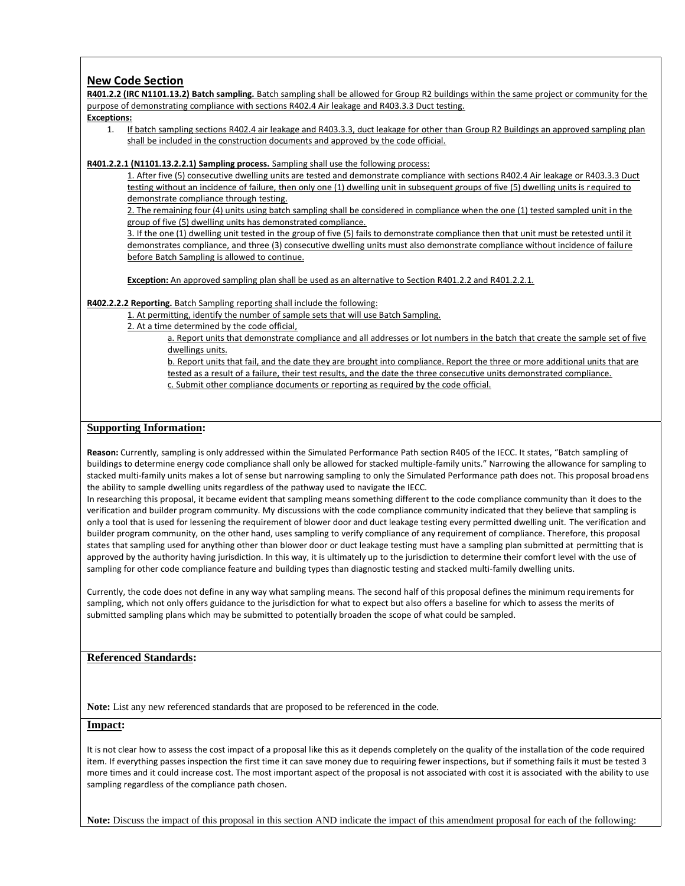## **New Code Section**

**R401.2.2 (IRC N1101.13.2) Batch sampling.** Batch sampling shall be allowed for Group R2 buildings within the same project or community for the purpose of demonstrating compliance with sections R402.4 Air leakage and R403.3.3 Duct testing.

#### **Exceptions:**

1. If batch sampling sections R402.4 air leakage and R403.3.3, duct leakage for other than Group R2 Buildings an approved sampling plan shall be included in the construction documents and approved by the code official.

**R401.2.2.1 (N1101.13.2.2.1) Sampling process.** Sampling shall use the following process:

1. After five (5) consecutive dwelling units are tested and demonstrate compliance with sections R402.4 Air leakage or R403.3.3 Duct testing without an incidence of failure, then only one (1) dwelling unit in subsequent groups of five (5) dwelling units is required to demonstrate compliance through testing.

2. The remaining four (4) units using batch sampling shall be considered in compliance when the one (1) tested sampled unit in the group of five (5) dwelling units has demonstrated compliance.

3. If the one (1) dwelling unit tested in the group of five (5) fails to demonstrate compliance then that unit must be retested until it demonstrates compliance, and three (3) consecutive dwelling units must also demonstrate compliance without incidence of failure before Batch Sampling is allowed to continue.

**Exception:** An approved sampling plan shall be used as an alternative to Section R401.2.2 and R401.2.2.1.

### **R402.2.2.2 Reporting.** Batch Sampling reporting shall include the following:

1. At permitting, identify the number of sample sets that will use Batch Sampling.

2. At a time determined by the code official,

a. Report units that demonstrate compliance and all addresses or lot numbers in the batch that create the sample set of five dwellings units.

b. Report units that fail, and the date they are brought into compliance. Report the three or more additional units that are tested as a result of a failure, their test results, and the date the three consecutive units demonstrated compliance. c. Submit other compliance documents or reporting as required by the code official.

### **Supporting Information:**

**Reason:** Currently, sampling is only addressed within the Simulated Performance Path section R405 of the IECC. It states, "Batch sampling of buildings to determine energy code compliance shall only be allowed for stacked multiple-family units." Narrowing the allowance for sampling to stacked multi-family units makes a lot of sense but narrowing sampling to only the Simulated Performance path does not. This proposal broadens the ability to sample dwelling units regardless of the pathway used to navigate the IECC.

In researching this proposal, it became evident that sampling means something different to the code compliance community than it does to the verification and builder program community. My discussions with the code compliance community indicated that they believe that sampling is only a tool that is used for lessening the requirement of blower door and duct leakage testing every permitted dwelling unit. The verification and builder program community, on the other hand, uses sampling to verify compliance of any requirement of compliance. Therefore, this proposal states that sampling used for anything other than blower door or duct leakage testing must have a sampling plan submitted at permitting that is approved by the authority having jurisdiction. In this way, it is ultimately up to the jurisdiction to determine their comfort level with the use of sampling for other code compliance feature and building types than diagnostic testing and stacked multi-family dwelling units.

Currently, the code does not define in any way what sampling means. The second half of this proposal defines the minimum requirements for sampling, which not only offers guidance to the jurisdiction for what to expect but also offers a baseline for which to assess the merits of submitted sampling plans which may be submitted to potentially broaden the scope of what could be sampled.

### **Referenced Standards:**

**Note:** List any new referenced standards that are proposed to be referenced in the code.

### **Impact:**

It is not clear how to assess the cost impact of a proposal like this as it depends completely on the quality of the installation of the code required item. If everything passes inspection the first time it can save money due to requiring fewer inspections, but if something fails it must be tested 3 more times and it could increase cost. The most important aspect of the proposal is not associated with cost it is associated with the ability to use sampling regardless of the compliance path chosen.

**Note:** Discuss the impact of this proposal in this section AND indicate the impact of this amendment proposal for each of the following: